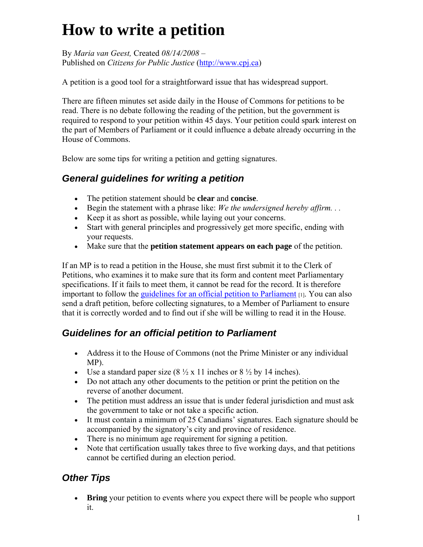## **How to write a petition**

By *Maria van Geest,* Created *08/14/2008 –* Published on *Citizens for Public Justice* [\(http://www.cpj.ca\)](http://www.cpj.ca/)

A petition is a good tool for a straightforward issue that has widespread support.

There are fifteen minutes set aside daily in the House of Commons for petitions to be read. There is no debate following the reading of the petition, but the government is required to respond to your petition within 45 days. Your petition could spark interest on the part of Members of Parliament or it could influence a debate already occurring in the House of Commons.

Below are some tips for writing a petition and getting signatures.

## *General guidelines for writing a petition*

- The petition statement should be **clear** and **concise**.
- Begin the statement with a phrase like: *We the undersigned hereby affirm. . .*
- Keep it as short as possible, while laying out your concerns.
- Start with general principles and progressively get more specific, ending with your requests.
- Make sure that the **petition statement appears on each page** of the petition.

If an MP is to read a petition in the House, she must first submit it to the Clerk of Petitions, who examines it to make sure that its form and content meet Parliamentary specifications. If it fails to meet them, it cannot be read for the record. It is therefore important to follow the [guidelines for an official petition to Parliament](http://www.parl.gc.ca/information/about/process/house/Petitions/petitionsPG2006__cover-e.htm)  $\mu$ . You can also send a draft petition, before collecting signatures, to a Member of Parliament to ensure that it is correctly worded and to find out if she will be willing to read it in the House.

## *Guidelines for an official petition to Parliament*

- Address it to the House of Commons (not the Prime Minister or any individual MP).
- Use a standard paper size  $(8\frac{1}{2} \times 11)$  inches or  $8\frac{1}{2}$  by 14 inches).
- Do not attach any other documents to the petition or print the petition on the reverse of another document.
- The petition must address an issue that is under federal jurisdiction and must ask the government to take or not take a specific action.
- It must contain a minimum of 25 Canadians' signatures. Each signature should be accompanied by the signatory's city and province of residence.
- There is no minimum age requirement for signing a petition.
- Note that certification usually takes three to five working days, and that petitions cannot be certified during an election period.

## *Other Tips*

 **Bring** your petition to events where you expect there will be people who support it.